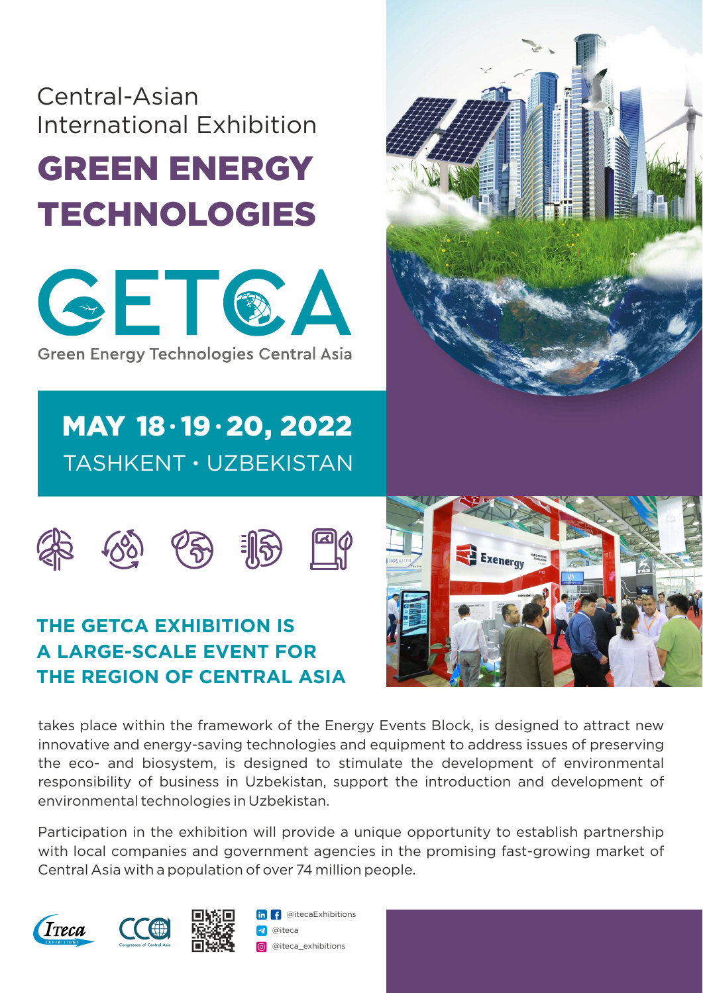## Central-Asian International Exhibition

# GREEN ENERGY TECHNOLOGIES



**Green Energy Technologies Central Asia** 

## TASHKENT · UZBEKISTAN MAY 18.19.20, 2022









#### **THE GETCA EXHIBITION IS A LARGE-SCALE EVENT FOR THE REGION OF CENTRAL ASIA**

takes place within the framework of the Energy Events Block, is designed to attract new innovative and energy-saving technologies and equipment to address issues of preserving the eco- and biosystem, is designed to stimulate the development of environmental responsibility of business in Uzbekistan, support the introduction and development of environmental technologies in Uzbekistan.

Participation in the exhibition will provide a unique opportunity to establish partnership with local companies and government agencies in the promising fast-growing market of Central Asia with a population of over 74 million people.





@iteca **in f** @itecaExhibitions **o** @iteca\_exhibitions